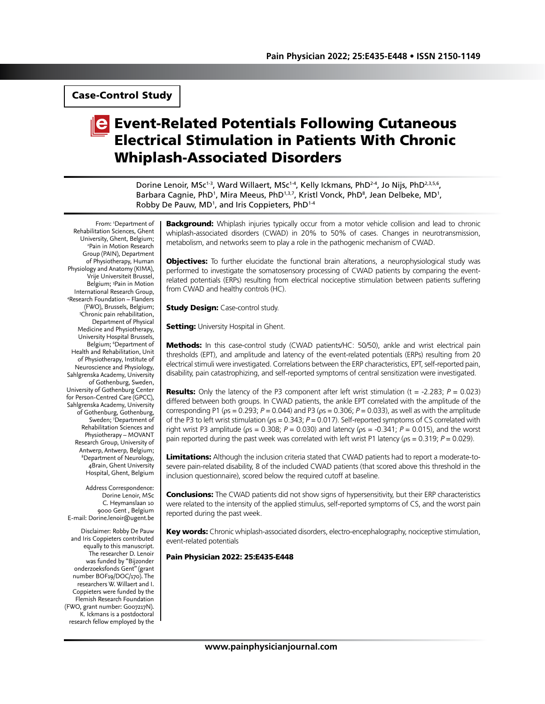Case-Control Study

# **E** Event-Related Potentials Following Cutaneous Electrical Stimulation in Patients With Chronic Whiplash-Associated Disorders

Dorine Lenoir, MSc<sup>1-3</sup>, Ward Willaert, MSc<sup>1-4</sup>, Kelly Ickmans, PhD<sup>2-4</sup>, Jo Nijs, PhD<sup>2,3,5,6</sup>, Barbara Cagnie, PhD<sup>1</sup>, Mira Meeus, PhD<sup>1,3,7</sup>, Kristl Vonck, PhD<sup>8</sup>, Jean Delbeke, MD<sup>1</sup>, Robby De Pauw, MD<sup>1</sup>, and Iris Coppieters, PhD<sup>1-4</sup>

From: 1 Department of Rehabilitation Sciences, Ghent University, Ghent, Belgium; 2 <sup>2</sup>Pain in Motion Research Group (PAIN), Department of Physiotherapy, Human Physiology and Anatomy (KIMA), Vrije Universiteit Brussel, Belgium; 3 Pain in Motion International Research Group, 4 Research Foundation – Flanders (FWO), Brussels, Belgium; 5 Chronic pain rehabilitation, Department of Physical Medicine and Physiotherapy, University Hospital Brussels, Belgium; <sup>6</sup>Department of Health and Rehabilitation, Unit of Physiotherapy, Institute of Neuroscience and Physiology, Sahlgrenska Academy, University of Gothenburg, Sweden, University of Gothenburg Center for Person-Centred Care (GPCC), Sahlgrenska Academy, University of Gothenburg, Gothenburg, Sweden; 7 Department of Rehabilitation Sciences and Physiotherapy – MOVANT Research Group, University of Antwerp, Antwerp, Belgium; 8 Department of Neurology, 4Brain, Ghent University Hospital, Ghent, Belgium

Address Correspondence: Dorine Lenoir, MSc C. Heymanslaan 10 9000 Gent , Belgium E-mail: Dorine.lenoir@ugent.be

Disclaimer: Robby De Pauw and Iris Coppieters contributed equally to this manuscript. The researcher D. Lenoir was funded by "Bijzonder onderzoeksfonds Gent" (grant number BOF19/DOC/170). The researchers W. Willaert and I. Coppieters were funded by the Flemish Research Foundation (FWO, grant number: G007217N). K. Ickmans is a postdoctoral research fellow employed by the

**Background:** Whiplash injuries typically occur from a motor vehicle collision and lead to chronic whiplash-associated disorders (CWAD) in 20% to 50% of cases. Changes in neurotransmission, metabolism, and networks seem to play a role in the pathogenic mechanism of CWAD.

**Objectives:** To further elucidate the functional brain alterations, a neurophysiological study was performed to investigate the somatosensory processing of CWAD patients by comparing the eventrelated potentials (ERPs) resulting from electrical nociceptive stimulation between patients suffering from CWAD and healthy controls (HC).

**Study Design: Case-control study.** 

**Setting:** University Hospital in Ghent.

**Methods:** In this case-control study (CWAD patients/HC: 50/50), ankle and wrist electrical pain thresholds (EPT), and amplitude and latency of the event-related potentials (ERPs) resulting from 20 electrical stimuli were investigated. Correlations between the ERP characteristics, EPT, self-reported pain, disability, pain catastrophizing, and self-reported symptoms of central sensitization were investigated.

**Results:** Only the latency of the P3 component after left wrist stimulation  $(t = -2.283; P = 0.023)$ differed between both groups. In CWAD patients, the ankle EPT correlated with the amplitude of the corresponding P1 (ρs = 0.293; *P* = 0.044) and P3 (ρs = 0.306; *P* = 0.033), as well as with the amplitude of the P3 to left wrist stimulation (ρs = 0.343; *P* = 0.017). Self-reported symptoms of CS correlated with right wrist P3 amplitude ( $p_s = 0.308$ ;  $P = 0.030$ ) and latency ( $p_s = -0.341$ ;  $P = 0.015$ ), and the worst pain reported during the past week was correlated with left wrist P1 latency (ρs = 0.319; *P* = 0.029).

Limitations: Although the inclusion criteria stated that CWAD patients had to report a moderate-tosevere pain-related disability, 8 of the included CWAD patients (that scored above this threshold in the inclusion questionnaire), scored below the required cutoff at baseline.

**Conclusions:** The CWAD patients did not show signs of hypersensitivity, but their ERP characteristics were related to the intensity of the applied stimulus, self-reported symptoms of CS, and the worst pain reported during the past week.

Key words: Chronic whiplash-associated disorders, electro-encephalography, nociceptive stimulation, event-related potentials

Pain Physician 2022: 25:E435-E448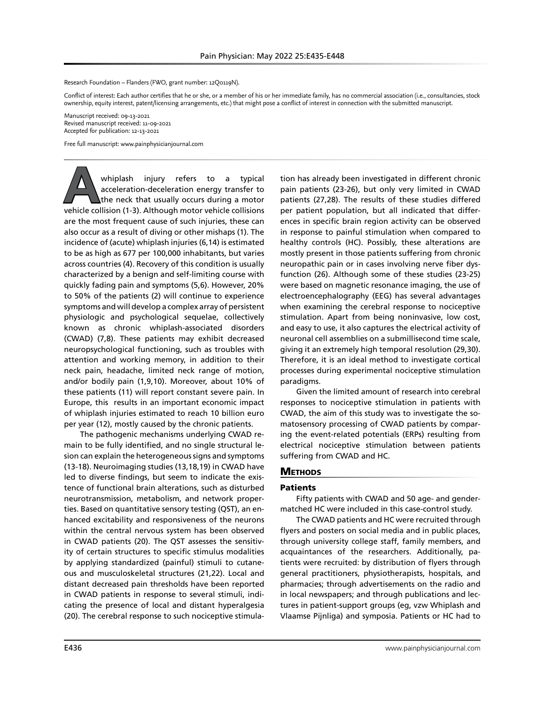Research Foundation – Flanders (FWO, grant number: 12Q0119N).

Conflict of interest: Each author certifies that he or she, or a member of his or her immediate family, has no commercial association (i.e., consultancies, stock ownership, equity interest, patent/licensing arrangements, etc.) that might pose a conflict of interest in connection with the submitted manuscript.

Manuscript received: 09-13-2021 Revised manuscript received: 11-09-2021 Accepted for publication: 12-13-2021

Free full manuscript: www.painphysicianjournal.com

whiplash injury refers to a typical<br>acceleration-deceleration energy transfer to<br>the neck that usually occurs during a motor<br>vehicle collision (1-3). Although motor vehicle collisions acceleration-deceleration energy transfer to the neck that usually occurs during a motor vehicle collision (1-3). Although motor vehicle collisions are the most frequent cause of such injuries, these can also occur as a result of diving or other mishaps (1). The incidence of (acute) whiplash injuries (6,14) is estimated to be as high as 677 per 100,000 inhabitants, but varies across countries (4). Recovery of this condition is usually characterized by a benign and self-limiting course with quickly fading pain and symptoms (5,6). However, 20% to 50% of the patients (2) will continue to experience symptoms and will develop a complex array of persistent physiologic and psychological sequelae, collectively known as chronic whiplash-associated disorders (CWAD) (7,8). These patients may exhibit decreased neuropsychological functioning, such as troubles with attention and working memory, in addition to their neck pain, headache, limited neck range of motion, and/or bodily pain (1,9,10). Moreover, about 10% of these patients (11) will report constant severe pain. In Europe, this results in an important economic impact of whiplash injuries estimated to reach 10 billion euro per year (12), mostly caused by the chronic patients.

The pathogenic mechanisms underlying CWAD remain to be fully identified, and no single structural lesion can explain the heterogeneous signs and symptoms (13-18). Neuroimaging studies (13,18,19) in CWAD have led to diverse findings, but seem to indicate the existence of functional brain alterations, such as disturbed neurotransmission, metabolism, and network properties. Based on quantitative sensory testing (QST), an enhanced excitability and responsiveness of the neurons within the central nervous system has been observed in CWAD patients (20). The QST assesses the sensitivity of certain structures to specific stimulus modalities by applying standardized (painful) stimuli to cutaneous and musculoskeletal structures (21,22). Local and distant decreased pain thresholds have been reported in CWAD patients in response to several stimuli, indicating the presence of local and distant hyperalgesia (20). The cerebral response to such nociceptive stimulation has already been investigated in different chronic pain patients (23-26), but only very limited in CWAD patients (27,28). The results of these studies differed per patient population, but all indicated that differences in specific brain region activity can be observed in response to painful stimulation when compared to healthy controls (HC). Possibly, these alterations are mostly present in those patients suffering from chronic neuropathic pain or in cases involving nerve fiber dysfunction (26). Although some of these studies (23-25) were based on magnetic resonance imaging, the use of electroencephalography (EEG) has several advantages when examining the cerebral response to nociceptive stimulation. Apart from being noninvasive, low cost, and easy to use, it also captures the electrical activity of neuronal cell assemblies on a submillisecond time scale, giving it an extremely high temporal resolution (29,30). Therefore, it is an ideal method to investigate cortical processes during experimental nociceptive stimulation paradigms.

Given the limited amount of research into cerebral responses to nociceptive stimulation in patients with CWAD, the aim of this study was to investigate the somatosensory processing of CWAD patients by comparing the event-related potentials (ERPs) resulting from electrical nociceptive stimulation between patients suffering from CWAD and HC.

## **METHODS**

#### Patients

Fifty patients with CWAD and 50 age- and gendermatched HC were included in this case-control study.

The CWAD patients and HC were recruited through flyers and posters on social media and in public places, through university college staff, family members, and acquaintances of the researchers. Additionally, patients were recruited: by distribution of flyers through general practitioners, physiotherapists, hospitals, and pharmacies; through advertisements on the radio and in local newspapers; and through publications and lectures in patient-support groups (eg, vzw Whiplash and Vlaamse Pijnliga) and symposia. Patients or HC had to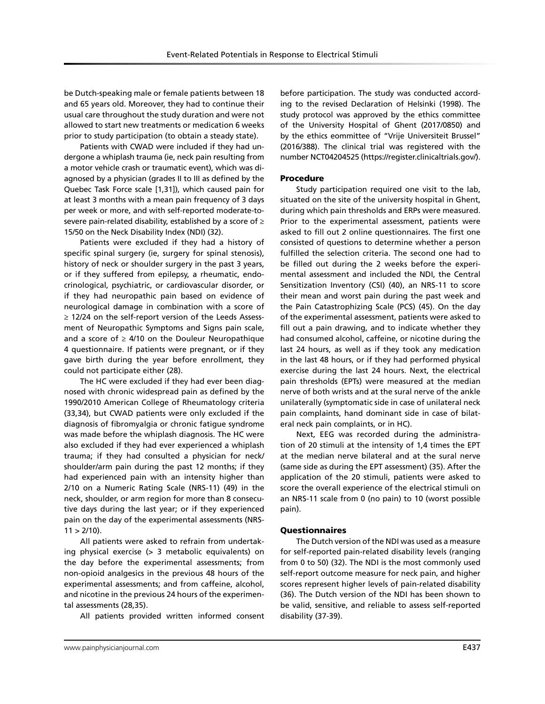be Dutch-speaking male or female patients between 18 and 65 years old. Moreover, they had to continue their usual care throughout the study duration and were not allowed to start new treatments or medication 6 weeks prior to study participation (to obtain a steady state).

Patients with CWAD were included if they had undergone a whiplash trauma (ie, neck pain resulting from a motor vehicle crash or traumatic event), which was diagnosed by a physician (grades II to III as defined by the Quebec Task Force scale [1,31]), which caused pain for at least 3 months with a mean pain frequency of 3 days per week or more, and with self-reported moderate-tosevere pain-related disability, established by a score of ≥ 15/50 on the Neck Disability Index (NDI) (32).

Patients were excluded if they had a history of specific spinal surgery (ie, surgery for spinal stenosis), history of neck or shoulder surgery in the past 3 years, or if they suffered from epilepsy, a rheumatic, endocrinological, psychiatric, or cardiovascular disorder, or if they had neuropathic pain based on evidence of neurological damage in combination with a score of ≥ 12/24 on the self-report version of the Leeds Assessment of Neuropathic Symptoms and Signs pain scale, and a score of  $\geq$  4/10 on the Douleur Neuropathique 4 questionnaire. If patients were pregnant, or if they gave birth during the year before enrollment, they could not participate either (28).

The HC were excluded if they had ever been diagnosed with chronic widespread pain as defined by the 1990/2010 American College of Rheumatology criteria (33,34), but CWAD patients were only excluded if the diagnosis of fibromyalgia or chronic fatigue syndrome was made before the whiplash diagnosis. The HC were also excluded if they had ever experienced a whiplash trauma; if they had consulted a physician for neck/ shoulder/arm pain during the past 12 months; if they had experienced pain with an intensity higher than 2/10 on a Numeric Rating Scale (NRS-11) (49) in the neck, shoulder, or arm region for more than 8 consecutive days during the last year; or if they experienced pain on the day of the experimental assessments (NRS- $11 > 2/10$ ).

All patients were asked to refrain from undertaking physical exercise (> 3 metabolic equivalents) on the day before the experimental assessments; from non-opioid analgesics in the previous 48 hours of the experimental assessments; and from caffeine, alcohol, and nicotine in the previous 24 hours of the experimental assessments (28,35).

All patients provided written informed consent

before participation. The study was conducted according to the revised Declaration of Helsinki (1998). The study protocol was approved by the ethics committee of the University Hospital of Ghent (2017/0850) and by the ethics eommittee of "Vrije Universiteit Brussel" (2016/388). The clinical trial was registered with the number NCT04204525 (https://register.clinicaltrials.gov/).

## Procedure

Study participation required one visit to the lab, situated on the site of the university hospital in Ghent, during which pain thresholds and ERPs were measured. Prior to the experimental assessment, patients were asked to fill out 2 online questionnaires. The first one consisted of questions to determine whether a person fulfilled the selection criteria. The second one had to be filled out during the 2 weeks before the experimental assessment and included the NDI, the Central Sensitization Inventory (CSI) (40), an NRS-11 to score their mean and worst pain during the past week and the Pain Catastrophizing Scale (PCS) (45). On the day of the experimental assessment, patients were asked to fill out a pain drawing, and to indicate whether they had consumed alcohol, caffeine, or nicotine during the last 24 hours, as well as if they took any medication in the last 48 hours, or if they had performed physical exercise during the last 24 hours. Next, the electrical pain thresholds (EPTs) were measured at the median nerve of both wrists and at the sural nerve of the ankle unilaterally (symptomatic side in case of unilateral neck pain complaints, hand dominant side in case of bilateral neck pain complaints, or in HC).

Next, EEG was recorded during the administration of 20 stimuli at the intensity of 1,4 times the EPT at the median nerve bilateral and at the sural nerve (same side as during the EPT assessment) (35). After the application of the 20 stimuli, patients were asked to score the overall experience of the electrical stimuli on an NRS-11 scale from 0 (no pain) to 10 (worst possible pain).

## Questionnaires

The Dutch version of the NDI was used as a measure for self-reported pain-related disability levels (ranging from 0 to 50) (32). The NDI is the most commonly used self-report outcome measure for neck pain, and higher scores represent higher levels of pain-related disability (36). The Dutch version of the NDI has been shown to be valid, sensitive, and reliable to assess self-reported disability (37-39).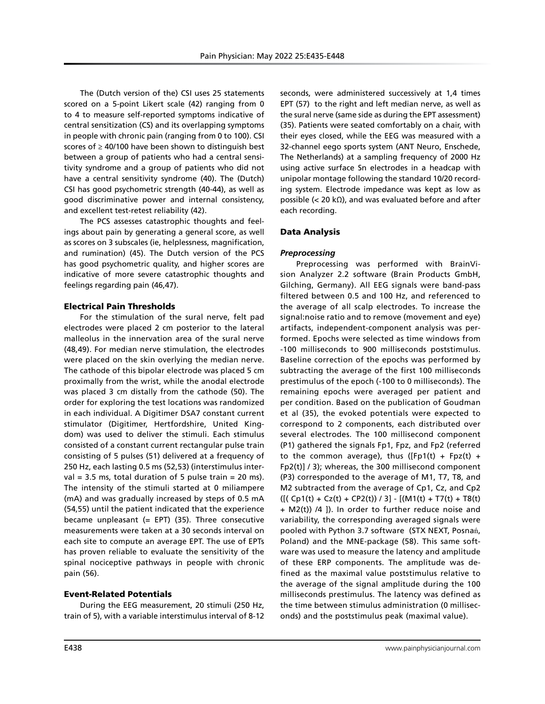The (Dutch version of the) CSI uses 25 statements scored on a 5-point Likert scale (42) ranging from 0 to 4 to measure self-reported symptoms indicative of central sensitization (CS) and its overlapping symptoms in people with chronic pain (ranging from 0 to 100). CSI scores of  $\geq$  40/100 have been shown to distinguish best between a group of patients who had a central sensitivity syndrome and a group of patients who did not have a central sensitivity syndrome (40). The (Dutch) CSI has good psychometric strength (40-44), as well as good discriminative power and internal consistency, and excellent test-retest reliability (42).

The PCS assesses catastrophic thoughts and feelings about pain by generating a general score, as well as scores on 3 subscales (ie, helplessness, magnification, and rumination) (45). The Dutch version of the PCS has good psychometric quality, and higher scores are indicative of more severe catastrophic thoughts and feelings regarding pain (46,47).

#### Electrical Pain Thresholds

For the stimulation of the sural nerve, felt pad electrodes were placed 2 cm posterior to the lateral malleolus in the innervation area of the sural nerve (48,49). For median nerve stimulation, the electrodes were placed on the skin overlying the median nerve. The cathode of this bipolar electrode was placed 5 cm proximally from the wrist, while the anodal electrode was placed 3 cm distally from the cathode (50). The order for exploring the test locations was randomized in each individual. A Digitimer DSA7 constant current stimulator (Digitimer, Hertfordshire, United Kingdom) was used to deliver the stimuli. Each stimulus consisted of a constant current rectangular pulse train consisting of 5 pulses (51) delivered at a frequency of 250 Hz, each lasting 0.5 ms (52,53) (interstimulus interval = 3.5 ms, total duration of 5 pulse train = 20 ms). The intensity of the stimuli started at 0 miliampere (mA) and was gradually increased by steps of 0.5 mA (54,55) until the patient indicated that the experience became unpleasant  $(= EPT)$  (35). Three consecutive measurements were taken at a 30 seconds interval on each site to compute an average EPT. The use of EPTs has proven reliable to evaluate the sensitivity of the spinal nociceptive pathways in people with chronic pain (56).

#### Event-Related Potentials

During the EEG measurement, 20 stimuli (250 Hz, train of 5), with a variable interstimulus interval of 8-12 seconds, were administered successively at 1,4 times EPT (57) to the right and left median nerve, as well as the sural nerve (same side as during the EPT assessment) (35). Patients were seated comfortably on a chair, with their eyes closed, while the EEG was measured with a 32-channel eego sports system (ANT Neuro, Enschede, The Netherlands) at a sampling frequency of 2000 Hz using active surface Sn electrodes in a headcap with unipolar montage following the standard 10/20 recording system. Electrode impedance was kept as low as possible (< 20 kΩ), and was evaluated before and after each recording.

### Data Analysis

### *Preprocessing*

Preprocessing was performed with BrainVision Analyzer 2.2 software (Brain Products GmbH, Gilching, Germany). All EEG signals were band-pass filtered between 0.5 and 100 Hz, and referenced to the average of all scalp electrodes. To increase the signal:noise ratio and to remove (movement and eye) artifacts, independent-component analysis was performed. Epochs were selected as time windows from -100 milliseconds to 900 milliseconds poststimulus. Baseline correction of the epochs was performed by subtracting the average of the first 100 milliseconds prestimulus of the epoch (-100 to 0 milliseconds). The remaining epochs were averaged per patient and per condition. Based on the publication of Goudman et al (35), the evoked potentials were expected to correspond to 2 components, each distributed over several electrodes. The 100 millisecond component (P1) gathered the signals Fp1, Fpz, and Fp2 (referred to the common average), thus ([Fp1(t) + Fpz(t) + Fp2(t)] / 3); whereas, the 300 millisecond component (P3) corresponded to the average of M1, T7, T8, and M2 subtracted from the average of Cp1, Cz, and Cp2  $([ (Cp1(t) + Cz(t) + CP2(t)) / 3] - [(M1(t) + T7(t) + T8(t))$ + M2(t)) /4 ]). In order to further reduce noise and variability, the corresponding averaged signals were pooled with Python 3.7 software (STX NEXT, Posnań, Poland) and the MNE-package (58). This same software was used to measure the latency and amplitude of these ERP components. The amplitude was defined as the maximal value poststimulus relative to the average of the signal amplitude during the 100 milliseconds prestimulus. The latency was defined as the time between stimulus administration (0 milliseconds) and the poststimulus peak (maximal value).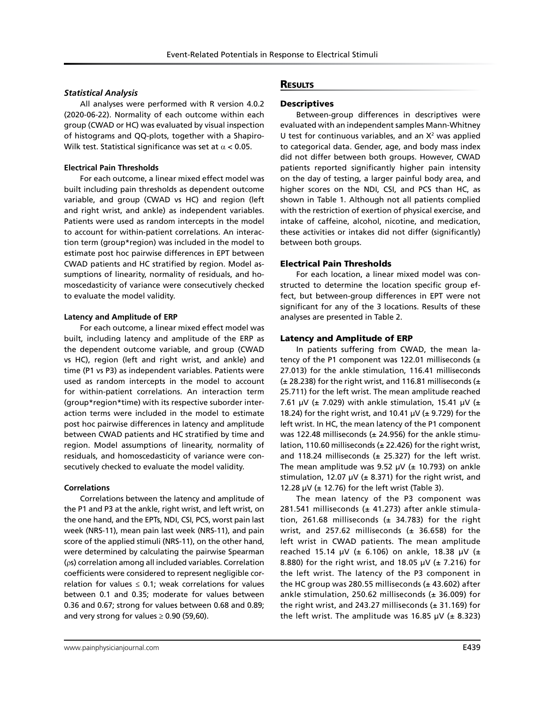### *Statistical Analysis*

All analyses were performed with R version 4.0.2 (2020-06-22). Normality of each outcome within each group (CWAD or HC) was evaluated by visual inspection of histograms and QQ-plots, together with a Shapiro-Wilk test. Statistical significance was set at  $\alpha$  < 0.05.

#### **Electrical Pain Thresholds**

For each outcome, a linear mixed effect model was built including pain thresholds as dependent outcome variable, and group (CWAD vs HC) and region (left and right wrist, and ankle) as independent variables. Patients were used as random intercepts in the model to account for within-patient correlations. An interaction term (group\*region) was included in the model to estimate post hoc pairwise differences in EPT between CWAD patients and HC stratified by region. Model assumptions of linearity, normality of residuals, and homoscedasticity of variance were consecutively checked to evaluate the model validity.

#### **Latency and Amplitude of ERP**

For each outcome, a linear mixed effect model was built, including latency and amplitude of the ERP as the dependent outcome variable, and group (CWAD vs HC), region (left and right wrist, and ankle) and time (P1 vs P3) as independent variables. Patients were used as random intercepts in the model to account for within-patient correlations. An interaction term (group\*region\*time) with its respective suborder interaction terms were included in the model to estimate post hoc pairwise differences in latency and amplitude between CWAD patients and HC stratified by time and region. Model assumptions of linearity, normality of residuals, and homoscedasticity of variance were consecutively checked to evaluate the model validity.

#### **Correlations**

Correlations between the latency and amplitude of the P1 and P3 at the ankle, right wrist, and left wrist, on the one hand, and the EPTs, NDI, CSI, PCS, worst pain last week (NRS-11), mean pain last week (NRS-11), and pain score of the applied stimuli (NRS-11), on the other hand, were determined by calculating the pairwise Spearman (ρs) correlation among all included variables. Correlation coefficients were considered to represent negligible correlation for values  $\leq$  0.1; weak correlations for values between 0.1 and 0.35; moderate for values between 0.36 and 0.67; strong for values between 0.68 and 0.89; and very strong for values  $\geq$  0.90 (59,60).

### **RESULTS**

## **Descriptives**

Between-group differences in descriptives were evaluated with an independent samples Mann-Whitney U test for continuous variables, and an  $X^2$  was applied to categorical data. Gender, age, and body mass index did not differ between both groups. However, CWAD patients reported significantly higher pain intensity on the day of testing, a larger painful body area, and higher scores on the NDI, CSI, and PCS than HC, as shown in Table 1. Although not all patients complied with the restriction of exertion of physical exercise, and intake of caffeine, alcohol, nicotine, and medication, these activities or intakes did not differ (significantly) between both groups.

### Electrical Pain Thresholds

For each location, a linear mixed model was constructed to determine the location specific group effect, but between-group differences in EPT were not significant for any of the 3 locations. Results of these analyses are presented in Table 2.

### Latency and Amplitude of ERP

In patients suffering from CWAD, the mean latency of the P1 component was 122.01 milliseconds  $(±)$ 27.013) for the ankle stimulation, 116.41 milliseconds ( $\pm$  28.238) for the right wrist, and 116.81 milliseconds ( $\pm$ 25.711) for the left wrist. The mean amplitude reached 7.61 μV ( $\pm$  7.029) with ankle stimulation, 15.41 μV ( $\pm$ 18.24) for the right wrist, and 10.41  $\mu$ V ( $\pm$  9.729) for the left wrist. In HC, the mean latency of the P1 component was 122.48 milliseconds ( $\pm$  24.956) for the ankle stimulation, 110.60 milliseconds ( $\pm$  22.426) for the right wrist, and 118.24 milliseconds ( $\pm$  25.327) for the left wrist. The mean amplitude was 9.52  $\mu$ V ( $\pm$  10.793) on ankle stimulation, 12.07  $\mu$ V ( $\pm$  8.371) for the right wrist, and 12.28  $\mu$ V ( $\pm$  12.76) for the left wrist (Table 3).

The mean latency of the P3 component was 281.541 milliseconds ( $\pm$  41.273) after ankle stimulation, 261.68 milliseconds ( $\pm$  34.783) for the right wrist, and 257.62 milliseconds ( $\pm$  36.658) for the left wrist in CWAD patients. The mean amplitude reached 15.14 μV (± 6.106) on ankle, 18.38 μV (± 8.880) for the right wrist, and 18.05  $\mu$ V ( $\pm$  7.216) for the left wrist. The latency of the P3 component in the HC group was 280.55 milliseconds ( $\pm$  43.602) after ankle stimulation, 250.62 milliseconds ( $\pm$  36.009) for the right wrist, and 243.27 milliseconds ( $\pm$  31.169) for the left wrist. The amplitude was 16.85  $\mu$ V ( $\pm$  8.323)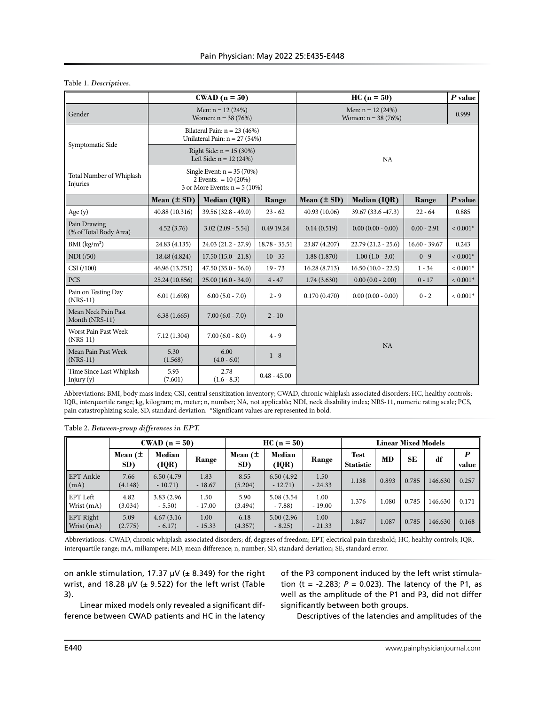|                                        |                 | $\text{CWAD}$ (n = 50)                                                                     |                 |                                             | $P$ value            |                 |            |  |  |  |
|----------------------------------------|-----------------|--------------------------------------------------------------------------------------------|-----------------|---------------------------------------------|----------------------|-----------------|------------|--|--|--|
| Gender                                 |                 | Men: $n = 12(24%)$<br>Women: $n = 38 (76%)$                                                |                 | Men: $n = 12(24%)$<br>Women: $n = 38 (76%)$ | 0.999                |                 |            |  |  |  |
| Symptomatic Side                       |                 | Bilateral Pain: $n = 23$ (46%)<br>Unilateral Pain: $n = 27$ (54%)                          |                 |                                             |                      |                 |            |  |  |  |
|                                        |                 | Right Side: $n = 15 (30%)$<br>Left Side: $n = 12 (24%)$                                    |                 |                                             | <b>NA</b>            |                 |            |  |  |  |
| Total Number of Whiplash<br>Injuries   |                 | Single Event: $n = 35 (70%)$<br>2 Events: $= 10 (20\%)$<br>3 or More Events: $n = 5(10\%)$ |                 |                                             |                      |                 |            |  |  |  |
|                                        | Mean $(\pm SD)$ | Median (IQR)                                                                               | Range           | Mean $(\pm SD)$                             | Median (IQR)         | Range           | $P$ value  |  |  |  |
| Age $(y)$                              | 40.88 (10.316)  | $39.56(32.8 - 49.0)$                                                                       | $23 - 62$       | 40.93 (10.06)                               | 39.67 (33.6 - 47.3)  | $22 - 64$       | 0.885      |  |  |  |
| Pain Drawing<br>(% of Total Body Area) | 4.52(3.76)      | $3.02(2.09 - 5.54)$                                                                        | 0.49 19.24      | 0.14(0.519)                                 | $0.00(0.00 - 0.00)$  | $0.00 - 2.91$   | $< 0.001*$ |  |  |  |
| BMI (kg/m <sup>2</sup> )               | 24.83 (4.135)   | $24.03(21.2 - 27.9)$                                                                       | $18.78 - 35.51$ | 23.87 (4.207)                               | $22.79(21.2 - 25.6)$ | $16.60 - 39.67$ | 0.243      |  |  |  |
| NDI (750)                              | 18.48 (4.824)   | $17.50(15.0 - 21.8)$                                                                       | $10 - 35$       | 1.88(1.870)                                 | $1.00(1.0 - 3.0)$    | $0 - 9$         | $< 0.001*$ |  |  |  |
| CSI (100)                              | 46.96 (13.751)  | $47.50(35.0 - 56.0)$                                                                       | $19 - 73$       | 16.28(8.713)                                | $16.50(10.0 - 22.5)$ | $1 - 34$        | $< 0.001*$ |  |  |  |
| <b>PCS</b>                             | 25.24 (10.856)  | $25.00(16.0 - 34.0)$                                                                       | $4 - 47$        | 1.74(3.630)                                 | $0.00(0.0 - 2.00)$   | $0 - 17$        | $< 0.001*$ |  |  |  |
| Pain on Testing Day<br>$(NRS-11)$      | 6.01(1.698)     | $6.00(5.0 - 7.0)$                                                                          | $2 - 9$         | 0.170(0.470)                                | $0.00(0.00 - 0.00)$  | $0 - 2$         | $< 0.001*$ |  |  |  |
| Mean Neck Pain Past<br>Month (NRS-11)  | 6.38(1.665)     | $7.00(6.0 - 7.0)$                                                                          | $2 - 10$        |                                             |                      |                 |            |  |  |  |
| Worst Pain Past Week<br>$(NRS-11)$     | 7.12(1.304)     | $7.00(6.0 - 8.0)$                                                                          | $4 - 9$         |                                             |                      |                 |            |  |  |  |
| Mean Pain Past Week<br>$(NRS-11)$      | 5.30<br>(1.568) | 6.00<br>$(4.0 - 6.0)$                                                                      | $1 - 8$         | NA                                          |                      |                 |            |  |  |  |
| Time Since Last Whiplash<br>Injury (y) | 5.93<br>(7.601) | 2.78<br>$(1.6 - 8.3)$                                                                      | $0.48 - 45.00$  |                                             |                      |                 |            |  |  |  |

## Table 1. *Descriptives.*

Abbreviations: BMI, body mass index; CSI, central sensitization inventory; CWAD, chronic whiplash associated disorders; HC, healthy controls; IQR, interquartile range; kg, kilogram; m, meter; n, number; NA, not applicable; NDI, neck disability index; NRS-11, numeric rating scale; PCS, pain catastrophizing scale; SD, standard deviation. \*Significant values are represented in bold.

## Table 2. *Between-group differences in EPT.*

|                         |                 | $\text{CWAD}$ (n = 50)   |                  |                 | $HC(n = 50)$             |                  | <b>Linear Mixed Models</b>      |       |       |         |            |  |  |
|-------------------------|-----------------|--------------------------|------------------|-----------------|--------------------------|------------------|---------------------------------|-------|-------|---------|------------|--|--|
|                         | Mean $($<br>SD) | Median<br>(IQR)          | Range            | Mean $($<br>SD) | <b>Median</b><br>(IQR)   | Range            | <b>Test</b><br><b>Statistic</b> | MD    | SE    | df      | P<br>value |  |  |
| EPT Ankle<br>(mA)       | 7.66<br>(4.148) | 6.50 (4.79)<br>$-10.71)$ | 1.83<br>$-18.67$ | 8.55<br>(5.204) | 6.50 (4.92)<br>$-12.71)$ | 1.50<br>$-24.33$ | 1.138                           | 0.893 | 0.785 | 146.630 | 0.257      |  |  |
| EPT Left<br>Wrist (mA)  | 4.82<br>(3.034) | 3.83 (2.96)<br>$-5.50$   | 1.50<br>$-17.00$ | 5.90<br>(3.494) | 5.08 (3.54)<br>$-7.88$   | 1.00<br>$-19.00$ | 1.376                           | 1.080 | 0.785 | 146.630 | 0.171      |  |  |
| EPT Right<br>Wrist (mA) | 5.09<br>(2.775) | 4.67(3.16)<br>$-6.17)$   | 1.00<br>$-15.33$ | 6.18<br>(4.357) | 5.00 (2.96)<br>$-8.25$   | 1.00<br>$-21.33$ | 1.847                           | 1.087 | 0.785 | 146.630 | 0.168      |  |  |

Abbreviations: CWAD, chronic whiplash-associated disorders; df, degrees of freedom; EPT, electrical pain threshold; HC, healthy controls; IQR, interquartile range; mA, miliampere; MD, mean difference; n, number; SD, standard deviation; SE, standard error.

on ankle stimulation, 17.37  $\mu$ V ( $\pm$  8.349) for the right wrist, and 18.28  $\mu$ V ( $\pm$  9.522) for the left wrist (Table 3).

Linear mixed models only revealed a significant difference between CWAD patients and HC in the latency of the P3 component induced by the left wrist stimulation (t =  $-2.283$ ;  $P = 0.023$ ). The latency of the P1, as well as the amplitude of the P1 and P3, did not differ significantly between both groups.

Descriptives of the latencies and amplitudes of the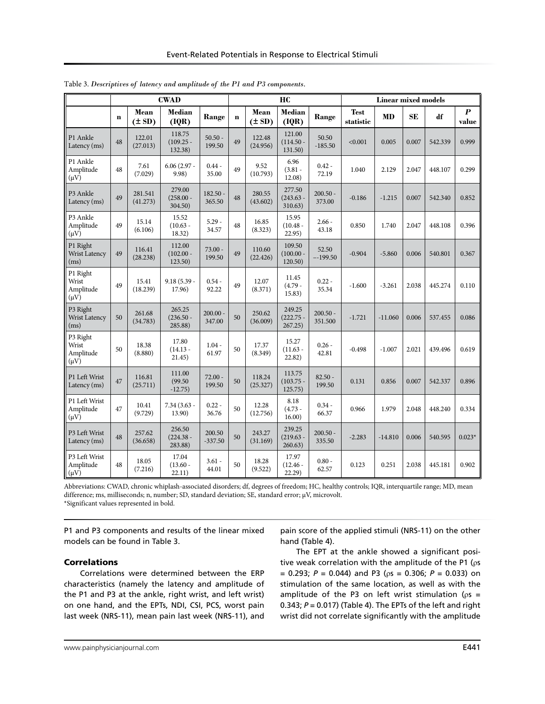|                                                |             |                     | <b>CWAD</b>                      |                      |             |                    | HC                                   |                       | <b>Linear mixed models</b> |           |           |         |                           |  |
|------------------------------------------------|-------------|---------------------|----------------------------------|----------------------|-------------|--------------------|--------------------------------------|-----------------------|----------------------------|-----------|-----------|---------|---------------------------|--|
|                                                | $\mathbf n$ | Mean<br>$(\pm SD)$  | <b>Median</b><br>(IQR)           | Range                | $\mathbf n$ | Mean<br>$(\pm SD)$ | Median<br>(IQR)                      | Range                 | <b>Test</b><br>statistic   | <b>MD</b> | <b>SE</b> | df      | $\boldsymbol{P}$<br>value |  |
| P1 Ankle<br>Latency (ms)                       | 48          | 122.01<br>(27.013)  | 118.75<br>$(109.25 -$<br>132.38) | $50.50 -$<br>199.50  | 49          | 122.48<br>(24.956) | 121.00<br>$(114.50 -$<br>131.50)     | 50.50<br>$-185.50$    | < 0.001                    | 0.005     | 0.007     | 542.339 | 0.999                     |  |
| P1 Ankle<br>Amplitude<br>$(\mu V)$             | 48          | 7.61<br>(7.029)     | $6.06(2.97 -$<br>9.98)           | $0.44 -$<br>35.00    | 49          | 9.52<br>(10.793)   | 6.96<br>$(3.81 -$<br>12.08)          | $0.42 -$<br>72.19     | 1.040                      | 2.129     | 2.047     | 448.107 | 0.299                     |  |
| P3 Ankle<br>Latency (ms)                       | 49          | 281.541<br>(41.273) | 279.00<br>$(258.00 -$<br>304.50) | $182.50 -$<br>365.50 | 48          | 280.55<br>(43.602) | 277.50<br>$(243.63 -$<br>310.63)     | $200.50 -$<br>373.00  | $-0.186$                   | $-1.215$  | 0.007     | 542.340 | 0.852                     |  |
| P <sub>3</sub> Ankle<br>Amplitude<br>$(\mu V)$ | 49          | 15.14<br>(6.106)    | 15.52<br>$(10.63 -$<br>18.32)    | $5.29 -$<br>34.57    | 48          | 16.85<br>(8.323)   | 15.95<br>$(10.48 -$<br>22.95)        | $2.66 -$<br>43.18     | 0.850                      | 1.740     | 2.047     | 448.108 | 0.396                     |  |
| P1 Right<br><b>Wrist Latency</b><br>(ms)       | 49          | 116.41<br>(28.238)  | 112.00<br>$(102.00 -$<br>123.50) | $73.00 -$<br>199.50  | 49          | 110.60<br>(22.426) | 109.50<br>(100.00)<br>120.50)        | 52.50<br>$-199.50$    | $-0.904$                   | $-5.860$  | 0.006     | 540.801 | 0.367                     |  |
| P1 Right<br>Wrist<br>Amplitude<br>$(\mu V)$    | 49          | 15.41<br>(18.239)   | $9.18(5.39 -$<br>17.96)          | $0.54 -$<br>92.22    | 49          | 12.07<br>(8.371)   | 11.45<br>$(4.79 -$<br>15.83)         | $0.22 -$<br>35.34     | $-1.600$                   | $-3.261$  | 2.038     | 445.274 | 0.110                     |  |
| P3 Right<br><b>Wrist Latency</b><br>(ms)       | 50          | 261.68<br>(34.783)  | 265.25<br>$(236.50 -$<br>285.88) | $200.00 -$<br>347.00 | 50          | 250.62<br>(36.009) | 249.25<br>$(222.75 -$<br>267.25)     | $200.50 -$<br>351.500 | $-1.721$                   | $-11.060$ | 0.006     | 537.455 | 0.086                     |  |
| P3 Right<br>Wrist<br>Amplitude<br>$(\mu V)$    | 50          | 18.38<br>(8.880)    | 17.80<br>$(14.13 -$<br>21.45)    | $1.04 -$<br>61.97    | 50          | 17.37<br>(8.349)   | 15.27<br>$(11.63 -$<br>22.82)        | $0.26 -$<br>42.81     | $-0.498$                   | $-1.007$  | 2.021     | 439.496 | 0.619                     |  |
| P1 Left Wrist<br>Latency (ms)                  | 47          | 116.81<br>(25.711)  | 111.00<br>(99.50)<br>$-12.75)$   | $72.00 -$<br>199.50  | 50          | 118.24<br>(25.327) | 113.75<br>$(103.75 \cdot$<br>125.75) | $82.50 -$<br>199.50   | 0.131                      | 0.856     | 0.007     | 542.337 | 0.896                     |  |
| P1 Left Wrist<br>Amplitude<br>$(\mu V)$        | 47          | 10.41<br>(9.729)    | $7.34(3.63 -$<br>13.90)          | $0.22 -$<br>36.76    | 50          | 12.28<br>(12.756)  | 8.18<br>$(4.73 -$<br>16.00)          | $0.34 -$<br>66.37     | 0.966                      | 1.979     | 2.048     | 448.240 | 0.334                     |  |
| P3 Left Wrist<br>Latency (ms)                  | 48          | 257.62<br>(36.658)  | 256.50<br>$(224.38 -$<br>283.88) | 200.50<br>$-337.50$  | 50          | 243.27<br>(31.169) | 239.25<br>$(219.63 -$<br>260.63)     | $200.50 -$<br>335.50  | $-2.283$                   | $-14.810$ | 0.006     | 540.595 | $0.023*$                  |  |
| P3 Left Wrist<br>Amplitude<br>$(\mu V)$        | 48          | 18.05<br>(7.216)    | 17.04<br>$(13.60 -$<br>22.11)    | $3.61 -$<br>44.01    | 50          | 18.28<br>(9.522)   | 17.97<br>$(12.46 -$<br>22.29)        | $0.80 -$<br>62.57     | 0.123                      | 0.251     | 2.038     | 445.181 | 0.902                     |  |

Table 3. *Descriptives of latency and amplitude of the P1 and P3 components.*

Abbreviations: CWAD, chronic whiplash-associated disorders; df, degrees of freedom; HC, healthy controls; IQR, interquartile range; MD, mean difference; ms, milliseconds; n, number; SD, standard deviation; SE, standard error; μV, microvolt. \*Significant values represented in bold.

P1 and P3 components and results of the linear mixed models can be found in Table 3.

pain score of the applied stimuli (NRS-11) on the other hand (Table 4).

## Correlations

Correlations were determined between the ERP characteristics (namely the latency and amplitude of the P1 and P3 at the ankle, right wrist, and left wrist) on one hand, and the EPTs, NDI, CSI, PCS, worst pain last week (NRS-11), mean pain last week (NRS-11), and

The EPT at the ankle showed a significant positive weak correlation with the amplitude of the P1 (ρs = 0.293; *P* = 0.044) and P3 (ρs = 0.306; *P* = 0.033) on stimulation of the same location, as well as with the amplitude of the P3 on left wrist stimulation ( $\rho s =$ 0.343; *P* = 0.017) (Table 4). The EPTs of the left and right wrist did not correlate significantly with the amplitude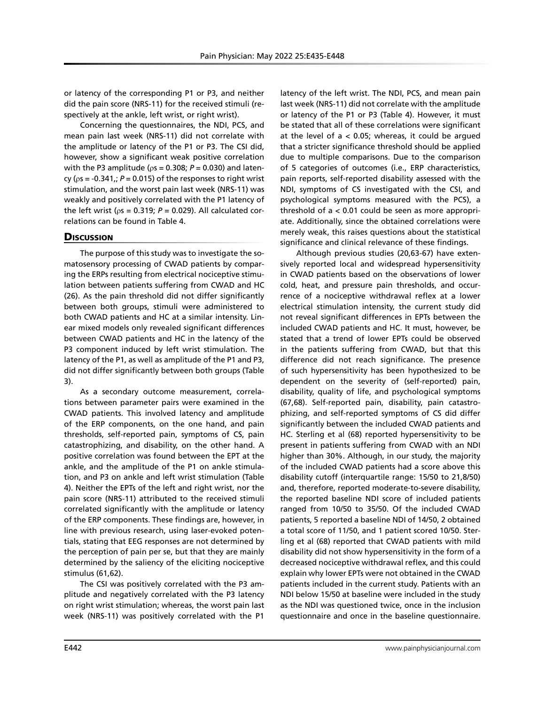or latency of the corresponding P1 or P3, and neither did the pain score (NRS-11) for the received stimuli (respectively at the ankle, left wrist, or right wrist).

Concerning the questionnaires, the NDI, PCS, and mean pain last week (NRS-11) did not correlate with the amplitude or latency of the P1 or P3. The CSI did, however, show a significant weak positive correlation with the P3 amplitude ( $\rho s = 0.308$ ;  $P = 0.030$ ) and latency ( $\rho$ s = -0.341,;  $P$  = 0.015) of the responses to right wrist stimulation, and the worst pain last week (NRS-11) was weakly and positively correlated with the P1 latency of the left wrist ( $ρs = 0.319$ ;  $P = 0.029$ ). All calculated correlations can be found in Table 4.

# **Discussion**

The purpose of this study was to investigate the somatosensory processing of CWAD patients by comparing the ERPs resulting from electrical nociceptive stimulation between patients suffering from CWAD and HC (26). As the pain threshold did not differ significantly between both groups, stimuli were administered to both CWAD patients and HC at a similar intensity. Linear mixed models only revealed significant differences between CWAD patients and HC in the latency of the P3 component induced by left wrist stimulation. The latency of the P1, as well as amplitude of the P1 and P3, did not differ significantly between both groups (Table 3).

As a secondary outcome measurement, correlations between parameter pairs were examined in the CWAD patients. This involved latency and amplitude of the ERP components, on the one hand, and pain thresholds, self-reported pain, symptoms of CS, pain catastrophizing, and disability, on the other hand. A positive correlation was found between the EPT at the ankle, and the amplitude of the P1 on ankle stimulation, and P3 on ankle and left wrist stimulation (Table 4). Neither the EPTs of the left and right wrist, nor the pain score (NRS-11) attributed to the received stimuli correlated significantly with the amplitude or latency of the ERP components. These findings are, however, in line with previous research, using laser-evoked potentials, stating that EEG responses are not determined by the perception of pain per se, but that they are mainly determined by the saliency of the eliciting nociceptive stimulus (61,62).

The CSI was positively correlated with the P3 amplitude and negatively correlated with the P3 latency on right wrist stimulation; whereas, the worst pain last week (NRS-11) was positively correlated with the P1 latency of the left wrist. The NDI, PCS, and mean pain last week (NRS-11) did not correlate with the amplitude or latency of the P1 or P3 (Table 4). However, it must be stated that all of these correlations were significant at the level of  $a < 0.05$ ; whereas, it could be argued that a stricter significance threshold should be applied due to multiple comparisons. Due to the comparison of 5 categories of outcomes (i.e., ERP characteristics, pain reports, self-reported disability assessed with the NDI, symptoms of CS investigated with the CSI, and psychological symptoms measured with the PCS), a threshold of a < 0.01 could be seen as more appropriate. Additionally, since the obtained correlations were merely weak, this raises questions about the statistical significance and clinical relevance of these findings.

Although previous studies (20,63-67) have extensively reported local and widespread hypersensitivity in CWAD patients based on the observations of lower cold, heat, and pressure pain thresholds, and occurrence of a nociceptive withdrawal reflex at a lower electrical stimulation intensity, the current study did not reveal significant differences in EPTs between the included CWAD patients and HC. It must, however, be stated that a trend of lower EPTs could be observed in the patients suffering from CWAD, but that this difference did not reach significance. The presence of such hypersensitivity has been hypothesized to be dependent on the severity of (self-reported) pain, disability, quality of life, and psychological symptoms (67,68). Self-reported pain, disability, pain catastrophizing, and self-reported symptoms of CS did differ significantly between the included CWAD patients and HC. Sterling et al (68) reported hypersensitivity to be present in patients suffering from CWAD with an NDI higher than 30%. Although, in our study, the majority of the included CWAD patients had a score above this disability cutoff (interquartile range: 15/50 to 21,8/50) and, therefore, reported moderate-to-severe disability, the reported baseline NDI score of included patients ranged from 10/50 to 35/50. Of the included CWAD patients, 5 reported a baseline NDI of 14/50, 2 obtained a total score of 11/50, and 1 patient scored 10/50. Sterling et al (68) reported that CWAD patients with mild disability did not show hypersensitivity in the form of a decreased nociceptive withdrawal reflex, and this could explain why lower EPTs were not obtained in the CWAD patients included in the current study. Patients with an NDI below 15/50 at baseline were included in the study as the NDI was questioned twice, once in the inclusion questionnaire and once in the baseline questionnaire.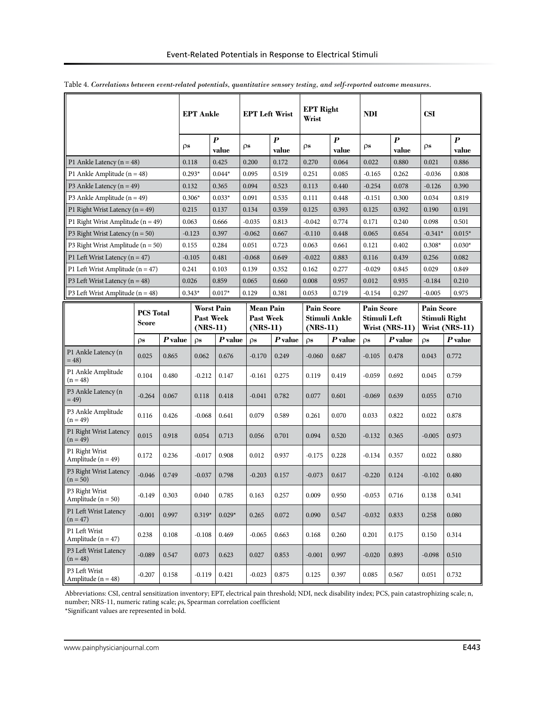|                                          |                                      |           |          | <b>EPT Ankle</b>                           |                           |                                                    | <b>EPT Left Wrist</b> |                                           | <b>EPT Right</b><br>Wrist |                                                     | <b>NDI</b> |                                                      | <b>CSI</b>        |                           |
|------------------------------------------|--------------------------------------|-----------|----------|--------------------------------------------|---------------------------|----------------------------------------------------|-----------------------|-------------------------------------------|---------------------------|-----------------------------------------------------|------------|------------------------------------------------------|-------------------|---------------------------|
|                                          |                                      |           | ρs       |                                            | $\boldsymbol{P}$<br>value | ρs                                                 |                       | $\boldsymbol{P}$<br>value                 | ρs                        | $\boldsymbol{P}$<br>value                           | ρs         | $\boldsymbol{P}$<br>value                            | ρs                | $\boldsymbol{P}$<br>value |
| P1 Ankle Latency $(n = 48)$              |                                      |           | 0.118    |                                            | 0.425                     |                                                    | 0.200                 | 0.172                                     | 0.270                     | 0.064                                               | 0.022      | 0.880                                                | 0.021             | 0.886                     |
| P1 Ankle Amplitude ( $n = 48$ )          |                                      |           | $0.293*$ |                                            | $0.044*$                  | 0.095                                              |                       | 0.519                                     | 0.251                     | 0.085                                               | $-0.165$   | 0.262                                                | $-0.036$          | 0.808                     |
| P3 Ankle Latency $(n = 49)$              |                                      |           | 0.132    |                                            | 0.365                     |                                                    | 0.094                 | 0.523                                     | 0.113                     | 0.440                                               | $-0.254$   | 0.078                                                | $-0.126$          | 0.390                     |
| P3 Ankle Amplitude ( $n = 49$ )          |                                      |           | $0.306*$ |                                            | $0.033*$                  |                                                    | 0.091                 | 0.535                                     | 0.111                     | 0.448                                               | $-0.151$   | 0.300                                                | 0.034             | 0.819                     |
| P1 Right Wrist Latency ( $n = 49$ )      |                                      |           | 0.215    |                                            | 0.137                     |                                                    | 0.134                 | 0.359                                     | 0.125                     | 0.393                                               | 0.125      | 0.392                                                | 0.190             | 0.191                     |
| P1 Right Wrist Amplitude ( $n = 49$ )    |                                      |           | 0.063    |                                            | 0.666                     |                                                    | $-0.035$              | 0.813                                     | $-0.042$                  | 0.774                                               | 0.171      | 0.240                                                | 0.098             | 0.501                     |
| P3 Right Wrist Latency ( $n = 50$ )      |                                      |           | $-0.123$ |                                            | 0.397                     |                                                    | $-0.062$              | 0.667                                     | $-0.110$                  | 0.448                                               | 0.065      | 0.654                                                | $-0.341*$         | $0.015*$                  |
| P3 Right Wrist Amplitude ( $n = 50$ )    |                                      |           | 0.155    |                                            | 0.284                     |                                                    | 0.051                 | 0.723                                     | 0.063                     | 0.661                                               | 0.121      | 0.402                                                | $0.308*$          | $0.030*$                  |
| P1 Left Wrist Latency ( $n = 47$ )       |                                      |           | $-0.105$ |                                            | 0.481                     |                                                    | $-0.068$              | 0.649                                     | $-0.022$                  | 0.883                                               | 0.116      | 0.439                                                | 0.256             | 0.082                     |
| P1 Left Wrist Amplitude ( $n = 47$ )     |                                      |           | 0.241    |                                            | 0.103                     |                                                    | 0.139                 | 0.352                                     | 0.162                     | 0.277                                               | $-0.029$   | 0.845                                                | 0.029<br>0.849    |                           |
| P3 Left Wrist Latency $(n = 48)$         |                                      |           | 0.026    |                                            | 0.859                     |                                                    | 0.065                 | 0.660                                     | 0.008                     | 0.957                                               | 0.012      | 0.935                                                | $-0.184$<br>0.210 |                           |
|                                          | P3 Left Wrist Amplitude ( $n = 48$ ) |           | $0.343*$ | $0.017*$                                   |                           | 0.129                                              |                       | 0.381                                     | 0.053                     | 0.719                                               | $-0.154$   | 0.297                                                | $-0.005$          | 0.975                     |
|                                          | <b>PCS</b> Total<br>Score            |           |          | Worst Pain<br><b>Past Week</b><br>(NRS-11) |                           | <b>Mean Pain</b><br><b>Past Week</b><br>$(NRS-11)$ |                       | Pain Score<br>Stimuli Ankle<br>$(NRS-11)$ |                           | <b>Pain Score</b><br>Stimuli Left<br>Wrist (NRS-11) |            | <b>Pain Score</b><br>Stimuli Right<br>Wrist (NRS-11) |                   |                           |
|                                          | $\rho s$                             | $P$ value |          | $\rho s$                                   | $P$ value                 |                                                    | $\rho s$              | $P$ value                                 | $\rho s$                  | $P$ value                                           | $\rho s$   | $P$ value                                            | $\rho s$          | $P$ value                 |
| P1 Ankle Latency (n<br>$= 48$            | 0.025                                | 0.865     |          | 0.062                                      | 0.676                     |                                                    | $-0.170$              | 0.249                                     | $-0.060$                  | 0.687                                               | $-0.105$   | 0.478                                                | 0.043             | 0.772                     |
| P1 Ankle Amplitude<br>$(n = 48)$         | 0.104                                | 0.480     |          | $-0.212$                                   | 0.147                     |                                                    | -0.161                | 0.275                                     | 0.119                     | 0.419                                               | -0.059     | 0.692                                                | 0.045             | 0.759                     |
| P3 Ankle Latency (n<br>$= 49$            | $-0.264$                             | 0.067     |          | 0.118                                      | 0.418                     |                                                    | $-0.041$              | 0.782                                     | 0.077                     | 0.601                                               | $-0.069$   | 0.639                                                | 0.055             | 0.710                     |
| P3 Ankle Amplitude<br>$(n = 49)$         | 0.116                                | 0.426     |          | $-0.068$                                   | 0.641                     |                                                    | 0.079                 | 0.589                                     | 0.261                     | 0.070                                               | 0.033      | 0.822                                                | 0.022             | 0.878                     |
| P1 Right Wrist Latency<br>$(n = 49)$     | 0.015                                | 0.918     |          | 0.054                                      | 0.713                     |                                                    | 0.056                 | 0.701                                     | 0.094                     | 0.520                                               | $-0.132$   | 0.365                                                | $-0.005$          | 0.973                     |
| P1 Right Wrist<br>Amplitude ( $n = 49$ ) | 0.172                                | 0.236     |          | $-0.017$                                   | 0.908                     |                                                    | 0.012                 | 0.937                                     | $-0.175$                  | 0.228                                               | $-0.134$   | 0.357                                                | 0.022             | 0.880                     |
| P3 Right Wrist Latency<br>$(n = 50)$     | $-0.046$                             | 0.749     |          | $-0.037$                                   | 0.798                     |                                                    | $-0.203$              | 0.157                                     | $-0.073$                  | 0.617                                               | $-0.220$   | 0.124                                                | $-0.102$          | 0.480                     |
| P3 Right Wrist<br>Amplitude ( $n = 50$ ) | $-0.149$                             | 0.303     |          | 0.040                                      | 0.785                     |                                                    | 0.163                 | 0.257                                     | 0.009                     | 0.950                                               | $-0.053$   | 0.716                                                | 0.138             | 0.341                     |
| P1 Left Wrist Latency<br>$(n = 47)$      | $-0.001$                             | 0.997     |          | $0.319*$                                   | $0.029*$                  |                                                    | 0.265                 | 0.072                                     | 0.090                     | 0.547                                               | $-0.032$   | 0.833                                                | 0.258             | 0.080                     |
| P1 Left Wrist<br>Amplitude ( $n = 47$ )  | 0.238                                | 0.108     |          | $-0.108$                                   | 0.469                     |                                                    | $-0.065$              | 0.663                                     | 0.168                     | 0.260                                               | 0.201      | 0.175                                                | 0.150             | 0.314                     |
| P3 Left Wrist Latency<br>$(n = 48)$      | $-0.089$                             | 0.547     |          | 0.073                                      | 0.623                     |                                                    | 0.027                 | 0.853                                     | $-0.001$                  | 0.997                                               | $-0.020$   | 0.893                                                | $-0.098$          | 0.510                     |
| P3 Left Wrist<br>Amplitude ( $n = 48$ )  | $-0.207$                             | 0.158     |          | $-0.119$                                   | 0.421                     |                                                    | $-0.023$              | 0.875                                     | 0.125                     | 0.397                                               | 0.085      | 0.567                                                | 0.051             | 0.732                     |

|  |  |  |  |  | Table 4. Correlations between event-related potentials, quantitative sensory testing, and self-reported outcome measures. |  |
|--|--|--|--|--|---------------------------------------------------------------------------------------------------------------------------|--|
|  |  |  |  |  |                                                                                                                           |  |

Abbreviations: CSI, central sensitization inventory; EPT, electrical pain threshold; NDI, neck disability index; PCS, pain catastrophizing scale; n, number; NRS-11, numeric rating scale; ρs, Spearman correlation coefficient

\*Significant values are represented in bold.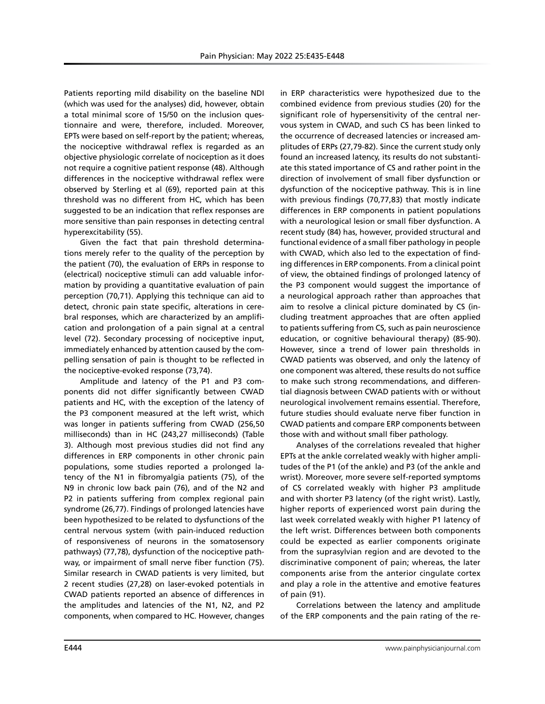Patients reporting mild disability on the baseline NDI (which was used for the analyses) did, however, obtain a total minimal score of 15/50 on the inclusion questionnaire and were, therefore, included. Moreover, EPTs were based on self-report by the patient; whereas, the nociceptive withdrawal reflex is regarded as an objective physiologic correlate of nociception as it does not require a cognitive patient response (48). Although differences in the nociceptive withdrawal reflex were observed by Sterling et al (69), reported pain at this threshold was no different from HC, which has been suggested to be an indication that reflex responses are more sensitive than pain responses in detecting central hyperexcitability (55).

Given the fact that pain threshold determinations merely refer to the quality of the perception by the patient (70), the evaluation of ERPs in response to (electrical) nociceptive stimuli can add valuable information by providing a quantitative evaluation of pain perception (70,71). Applying this technique can aid to detect, chronic pain state specific, alterations in cerebral responses, which are characterized by an amplification and prolongation of a pain signal at a central level (72). Secondary processing of nociceptive input, immediately enhanced by attention caused by the compelling sensation of pain is thought to be reflected in the nociceptive-evoked response (73,74).

Amplitude and latency of the P1 and P3 components did not differ significantly between CWAD patients and HC, with the exception of the latency of the P3 component measured at the left wrist, which was longer in patients suffering from CWAD (256,50 milliseconds) than in HC (243,27 milliseconds) (Table 3). Although most previous studies did not find any differences in ERP components in other chronic pain populations, some studies reported a prolonged latency of the N1 in fibromyalgia patients (75), of the N9 in chronic low back pain (76), and of the N2 and P2 in patients suffering from complex regional pain syndrome (26,77). Findings of prolonged latencies have been hypothesized to be related to dysfunctions of the central nervous system (with pain-induced reduction of responsiveness of neurons in the somatosensory pathways) (77,78), dysfunction of the nociceptive pathway, or impairment of small nerve fiber function (75). Similar research in CWAD patients is very limited, but 2 recent studies (27,28) on laser-evoked potentials in CWAD patients reported an absence of differences in the amplitudes and latencies of the N1, N2, and P2 components, when compared to HC. However, changes

in ERP characteristics were hypothesized due to the combined evidence from previous studies (20) for the significant role of hypersensitivity of the central nervous system in CWAD, and such CS has been linked to the occurrence of decreased latencies or increased amplitudes of ERPs (27,79-82). Since the current study only found an increased latency, its results do not substantiate this stated importance of CS and rather point in the direction of involvement of small fiber dysfunction or dysfunction of the nociceptive pathway. This is in line with previous findings (70,77,83) that mostly indicate differences in ERP components in patient populations with a neurological lesion or small fiber dysfunction. A recent study (84) has, however, provided structural and functional evidence of a small fiber pathology in people with CWAD, which also led to the expectation of finding differences in ERP components. From a clinical point of view, the obtained findings of prolonged latency of the P3 component would suggest the importance of a neurological approach rather than approaches that aim to resolve a clinical picture dominated by CS (including treatment approaches that are often applied to patients suffering from CS, such as pain neuroscience education, or cognitive behavioural therapy) (85-90). However, since a trend of lower pain thresholds in CWAD patients was observed, and only the latency of one component was altered, these results do not suffice to make such strong recommendations, and differential diagnosis between CWAD patients with or without neurological involvement remains essential. Therefore, future studies should evaluate nerve fiber function in CWAD patients and compare ERP components between those with and without small fiber pathology.

Analyses of the correlations revealed that higher EPTs at the ankle correlated weakly with higher amplitudes of the P1 (of the ankle) and P3 (of the ankle and wrist). Moreover, more severe self-reported symptoms of CS correlated weakly with higher P3 amplitude and with shorter P3 latency (of the right wrist). Lastly, higher reports of experienced worst pain during the last week correlated weakly with higher P1 latency of the left wrist. Differences between both components could be expected as earlier components originate from the suprasylvian region and are devoted to the discriminative component of pain; whereas, the later components arise from the anterior cingulate cortex and play a role in the attentive and emotive features of pain (91).

Correlations between the latency and amplitude of the ERP components and the pain rating of the re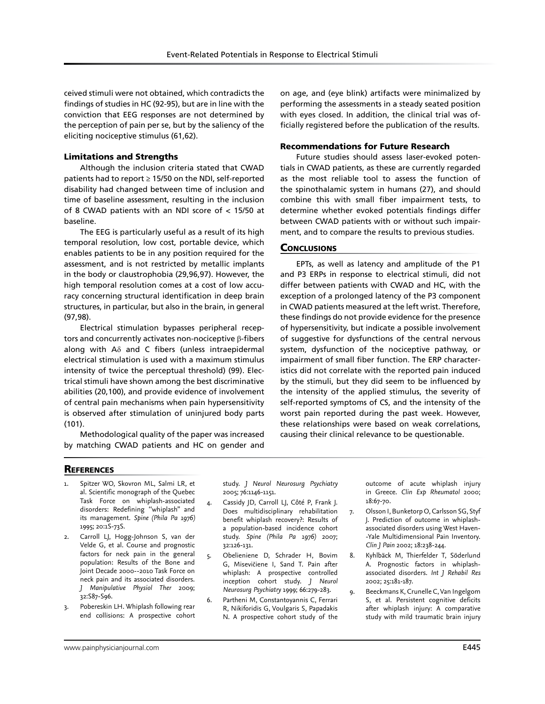ceived stimuli were not obtained, which contradicts the findings of studies in HC (92-95), but are in line with the conviction that EEG responses are not determined by the perception of pain per se, but by the saliency of the eliciting nociceptive stimulus (61,62).

# Limitations and Strengths

Although the inclusion criteria stated that CWAD patients had to report ≥ 15/50 on the NDI, self-reported disability had changed between time of inclusion and time of baseline assessment, resulting in the inclusion of 8 CWAD patients with an NDI score of < 15/50 at baseline.

The EEG is particularly useful as a result of its high temporal resolution, low cost, portable device, which enables patients to be in any position required for the assessment, and is not restricted by metallic implants in the body or claustrophobia (29,96,97). However, the high temporal resolution comes at a cost of low accuracy concerning structural identification in deep brain structures, in particular, but also in the brain, in general (97,98).

Electrical stimulation bypasses peripheral receptors and concurrently activates non-nociceptive β-fibers along with Aδ and C fibers (unless intraepidermal electrical stimulation is used with a maximum stimulus intensity of twice the perceptual threshold) (99). Electrical stimuli have shown among the best discriminative abilities (20,100), and provide evidence of involvement of central pain mechanisms when pain hypersensitivity is observed after stimulation of uninjured body parts (101).

Methodological quality of the paper was increased by matching CWAD patients and HC on gender and

on age, and (eye blink) artifacts were minimalized by performing the assessments in a steady seated position with eyes closed. In addition, the clinical trial was officially registered before the publication of the results.

# Recommendations for Future Research

Future studies should assess laser-evoked potentials in CWAD patients, as these are currently regarded as the most reliable tool to assess the function of the spinothalamic system in humans (27), and should combine this with small fiber impairment tests, to determine whether evoked potentials findings differ between CWAD patients with or without such impairment, and to compare the results to previous studies.

# **CONCLUSIONS**

EPTs, as well as latency and amplitude of the P1 and P3 ERPs in response to electrical stimuli, did not differ between patients with CWAD and HC, with the exception of a prolonged latency of the P3 component in CWAD patients measured at the left wrist. Therefore, these findings do not provide evidence for the presence of hypersensitivity, but indicate a possible involvement of suggestive for dysfunctions of the central nervous system, dysfunction of the nociceptive pathway, or impairment of small fiber function. The ERP characteristics did not correlate with the reported pain induced by the stimuli, but they did seem to be influenced by the intensity of the applied stimulus, the severity of self-reported symptoms of CS, and the intensity of the worst pain reported during the past week. However, these relationships were based on weak correlations, causing their clinical relevance to be questionable.

# **REFERENCES**

- Spitzer WO, Skovron ML, Salmi LR, et al. Scientific monograph of the Quebec Task Force on whiplash-associated disorders: Redefining ''whiplash" and its management. *Spine (Phila Pa 1976)*  1995; 20:1S-73S.
- Carroll LJ, Hogg-Johnson S, van der Velde G, et al. Course and prognostic factors for neck pain in the general population: Results of the Bone and Joint Decade 2000--2010 Task Force on neck pain and its associated disorders. *J Manipulative Physiol Ther* 2009; 32:S87-S96.
- 3. Pobereskin LH. Whiplash following rear end collisions: A prospective cohort

study. *J Neurol Neurosurg Psychiatry* 2005; 76:1146-1151.

- 4. Cassidy JD, Carroll LJ, Côté P, Frank J. Does multidisciplinary rehabilitation benefit whiplash recovery?: Results of a population-based incidence cohort study. *Spine (Phila Pa 1976)* 2007; 32:126-131.
- 5. Obelieniene D, Schrader H, Bovim G, Misevičiene I, Sand T. Pain after whiplash: A prospective controlled inception cohort study. *J Neurol Neurosurg Psychiatry* 1999; 66:279-283.
- 6. Partheni M, Constantoyannis C, Ferrari R, Nikiforidis G, Voulgaris S, Papadakis N. A prospective cohort study of the

outcome of acute whiplash injury in Greece. *Clin Exp Rheumatol* 2000; 18:67-70.

- 7. Olsson I, Bunketorp O, Carlsson SG, Styf J. Prediction of outcome in whiplashassociated disorders using West Haven- -Yale Multidimensional Pain Inventory. *Clin J Pain* 2002; 18:238-244.
- 8. Kyhlbäck M, Thierfelder T, Söderlund A. Prognostic factors in whiplashassociated disorders. *Int J Rehabil Res* 2002; 25:181-187.
- 9. Beeckmans K, Crunelle C, Van Ingelgom S, et al. Persistent cognitive deficits after whiplash injury: A comparative study with mild traumatic brain injury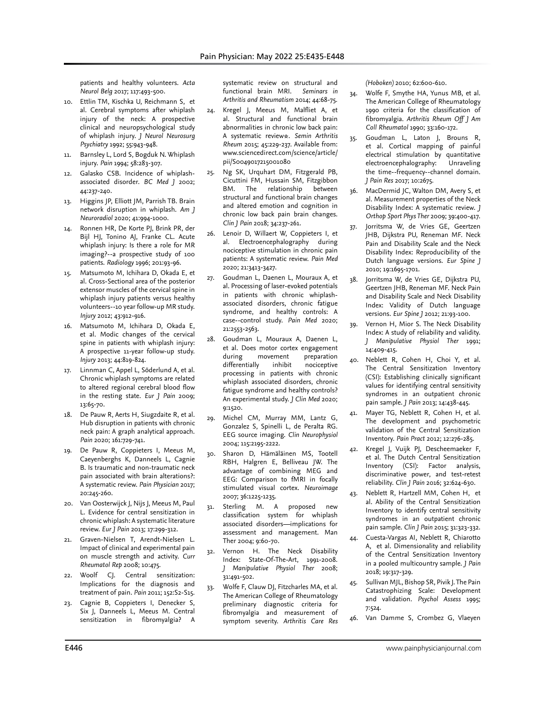patients and healthy volunteers. *Acta Neurol Belg* 2017; 117:493-500.

- 10. Ettlin TM, Kischka U, Reichmann S, et al. Cerebral symptoms after whiplash injury of the neck: A prospective clinical and neuropsychological study of whiplash injury. *J Neurol Neurosurg Psychiatry* 1992; 55:943-948.
- 11. Barnsley L, Lord S, Bogduk N. Whiplash injury. *Pain* 1994; 58:283-307.
- 12. Galasko CSB. Incidence of whiplashassociated disorder. *BC Med J* 2002; 44:237-240.
- 13. Higgins JP, Elliott JM, Parrish TB. Brain network disruption in whiplash. *Am J Neuroradiol* 2020; 41:994-1000.
- 14. Ronnen HR, De Korte PJ, Brink PR, der Bijl HJ, Tonino AJ, Franke CL. Acute whiplash injury: Is there a role for MR imaging?--a prospective study of 100 patients. *Radiology* 1996; 201:93-96.
- 15. Matsumoto M, Ichihara D, Okada E, et al. Cross-Sectional area of the posterior extensor muscles of the cervical spine in whiplash injury patients versus healthy volunteers--10 year follow-up MR study. *Injury* 2012; 43:912-916.
- 16. Matsumoto M, Ichihara D, Okada E, et al. Modic changes of the cervical spine in patients with whiplash injury: A prospective 11-year follow-up study. *Injury* 2013; 44:819-824.
- 17. Linnman C, Appel L, Söderlund A, et al. Chronic whiplash symptoms are related to altered regional cerebral blood flow in the resting state. *Eur J Pain* 2009; 13:65-70.
- 18. De Pauw R, Aerts H, Siugzdaite R, et al. Hub disruption in patients with chronic neck pain: A graph analytical approach. *Pain* 2020; 161:729-741.
- 19. De Pauw R, Coppieters I, Meeus M, Caeyenberghs K, Danneels L, Cagnie B. Is traumatic and non-traumatic neck pain associated with brain alterations?: A systematic review. *Pain Physician* 2017; 20:245-260.
- 20. Van Oosterwijck J, Nijs J, Meeus M, Paul L. Evidence for central sensitization in chronic whiplash: A systematic literature review. *Eur J Pain* 2013; 17:299-312.
- 21. Graven-Nielsen T, Arendt-Nielsen L. Impact of clinical and experimental pain on muscle strength and activity. *Curr Rheumatol Rep* 2008; 10:475.
- 22. Woolf CJ. Central sensitization: Implications for the diagnosis and treatment of pain. *Pain* 2011; 152:S2-S15.
- 23. Cagnie B, Coppieters I, Denecker S, Six J, Danneels L, Meeus M. Central sensitization in fibromyalgia? A

systematic review on structural and functional brain MRI. *Seminars in Arthritis and Rheumatism* 2014; 44:68-75.

- 24. Kregel J, Meeus M, Malfliet A, et al. Structural and functional brain abnormalities in chronic low back pain: A systematic review☆. *Semin Arthritis Rheum* 2015; 45:229-237. Available from: www.sciencedirect.com/science/article/ pii/S0049017215001080
- 25. Ng SK, Urquhart DM, Fitzgerald PB, Cicuttini FM, Hussain SM, Fitzgibbon BM. The relationship between structural and functional brain changes and altered emotion and cognition in chronic low back pain brain changes. *Clin J Pain* 2018; 34:237-261.
- 26. Lenoir D, Willaert W, Coppieters I, et al. Electroencephalography during nociceptive stimulation in chronic pain patients: A systematic review. *Pain Med* 2020; 21:3413-3427.
- 27. Goudman L, Daenen L, Mouraux A, et al. Processing of laser-evoked potentials in patients with chronic whiplashassociated disorders, chronic fatigue syndrome, and healthy controls: A case--control study. *Pain Med* 2020; 21:2553-2563.
- 28. Goudman L, Mouraux A, Daenen L, et al. Does motor cortex engagement during movement preparation differentially inhibit nociceptive processing in patients with chronic whiplash associated disorders, chronic fatigue syndrome and healthy controls? An experimental study. *J Clin Med* 2020; 9:1520.
- 29. Michel CM, Murray MM, Lantz G, Gonzalez S, Spinelli L, de Peralta RG. EEG source imaging. *Clin Neurophysiol* 2004; 115:2195-2222.
- 30. Sharon D, Hämäläinen MS, Tootell RBH, Halgren E, Belliveau JW. The advantage of combining MEG and EEG: Comparison to fMRI in focally stimulated visual cortex. *Neuroimage* 2007; 36:1225-1235.
- 31. Sterling M. A proposed new classification system for whiplash associated disorders—implications for assessment and management. Man Ther 2004; 9:60-70.
- Vernon H. The Neck Disability Index: State-Of-The-Art, 1991-2008. *J Manipulative Physiol Ther* 2008; 31:491-502.
- 33. Wolfe F, Clauw DJ, Fitzcharles MA, et al. The American College of Rheumatology preliminary diagnostic criteria for fibromyalgia and measurement of symptom severity. *Arthritis Care Res*

*(Hoboken)* 2010; 62:600-610.

- 34. Wolfe F, Smythe HA, Yunus MB, et al. The American College of Rheumatology 1990 criteria for the classification of fibromyalgia. *Arthritis Rheum Off J Am Coll Rheumatol* 1990; 33:160-172.
- 35. Goudman L, Laton J, Brouns R, et al. Cortical mapping of painful electrical stimulation by quantitative electroencephalography: Unraveling the time--frequency--channel domain. *J Pain Res* 2017; 10:2675.
- 36. MacDermid JC, Walton DM, Avery S, et al. Measurement properties of the Neck Disability Index: A systematic review. *J Orthop Sport Phys Ther* 2009; 39:400-417.
- 37. Jorritsma W, de Vries GE, Geertzen JHB, Dijkstra PU, Reneman MF. Neck Pain and Disability Scale and the Neck Disability Index: Reproducibility of the Dutch language versions. *Eur Spine J*  2010; 19:1695-1701.
- 38. Jorritsma W, de Vries GE, Dijkstra PU, Geertzen JHB, Reneman MF. Neck Pain and Disability Scale and Neck Disability Index: Validity of Dutch language versions. *Eur Spine J* 2012; 21:93-100.
- 39. Vernon H, Mior S. The Neck Disability Index: A study of reliability and validity. *J Manipulative Physiol Ther* 1991; 14:409-415.
- 40. Neblett R, Cohen H, Choi Y, et al. The Central Sensitization Inventory (CSI): Establishing clinically significant values for identifying central sensitivity syndromes in an outpatient chronic pain sample. *J Pain* 2013; 14:438-445.
- 41. Mayer TG, Neblett R, Cohen H, et al. The development and psychometric validation of the Central Sensitization Inventory. *Pain Pract* 2012; 12:276-285.
- 42. Kregel J, Vuijk PJ, Descheemaeker F, et al. The Dutch Central Sensitization Inventory (CSI): Factor analysis, discriminative power, and test-retest reliability. *Clin J Pain* 2016; 32:624-630.
- 43. Neblett R, Hartzell MM, Cohen H, et al. Ability of the Central Sensitization Inventory to identify central sensitivity syndromes in an outpatient chronic pain sample. *Clin J Pain* 2015; 31:323-332.
- 44. Cuesta-Vargas AI, Neblett R, Chiarotto A, et al. Dimensionality and reliability of the Central Sensitization Inventory in a pooled multicountry sample. *J Pain* 2018; 19:317-329.
- 45. Sullivan MJL, Bishop SR, Pivik J. The Pain Catastrophizing Scale: Development and validation. *Psychol Assess* 1995; 7:524.
- 46. Van Damme S, Crombez G, Vlaeyen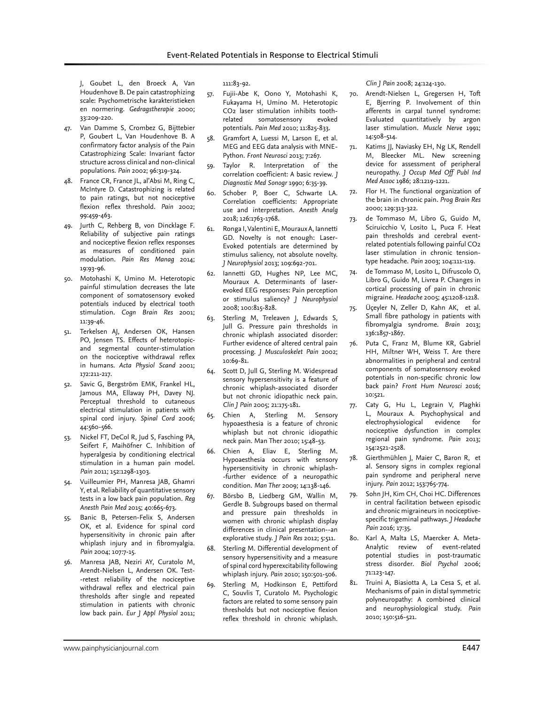J, Goubet L, den Broeck A, Van Houdenhove B. De pain catastrophizing scale: Psychometrische karakteristieken en normering. *Gedragstherapie* 2000; 33:209-220.

- 47. Van Damme S, Crombez G, Bijttebier P, Goubert L, Van Houdenhove B. A confirmatory factor analysis of the Pain Catastrophizing Scale: Invariant factor structure across clinical and non-clinical populations. *Pain* 2002; 96:319-324.
- 48. France CR, France JL, al'Absi M, Ring C, McIntyre D. Catastrophizing is related to pain ratings, but not nociceptive flexion reflex threshold. *Pain* 2002; 99:459-463.
- 49. Jurth C, Rehberg B, von Dincklage F. Reliability of subjective pain ratings and nociceptive flexion reflex responses as measures of conditioned pain modulation. *Pain Res Manag* 2014; 19:93-96.
- 50. Motohashi K, Umino M. Heterotopic painful stimulation decreases the late component of somatosensory evoked potentials induced by electrical tooth stimulation. *Cogn Brain Res* 2001; 11:39-46.
- 51. Terkelsen AJ, Andersen OK, Hansen PO, Jensen TS. Effects of heterotopicand segmental counter-stimulation on the nociceptive withdrawal reflex in humans. *Acta Physiol Scand* 2001; 172:211-217.
- 52. Savic G, Bergström EMK, Frankel HL, Jamous MA, Ellaway PH, Davey NJ. Perceptual threshold to cutaneous electrical stimulation in patients with spinal cord injury. *Spinal Cord* 2006; 44:560-566.
- 53. Nickel FT, DeCol R, Jud S, Fasching PA, Seifert F, Maihöfner C. Inhibition of hyperalgesia by conditioning electrical stimulation in a human pain model. *Pain* 2011; 152:1298-1303.
- 54. Vuilleumier PH, Manresa JAB, Ghamri Y, et al. Reliability of quantitative sensory tests in a low back pain population. *Reg Anesth Pain Med* 2015; 40:665-673.
- 55. Banic B, Petersen-Felix S, Andersen OK, et al. Evidence for spinal cord hypersensitivity in chronic pain after whiplash injury and in fibromyalgia. *Pain* 2004; 107:7-15.
- 56. Manresa JAB, Neziri AY, Curatolo M, Arendt-Nielsen L, Andersen OK. Test- -retest reliability of the nociceptive withdrawal reflex and electrical pain thresholds after single and repeated stimulation in patients with chronic low back pain. *Eur J Appl Physiol* 2011;

111:83-92.

- 57. Fujii-Abe K, Oono Y, Motohashi K, Fukayama H, Umino M. Heterotopic CO2 laser stimulation inhibits toothrelated somatosensory evoked potentials. *Pain Med* 2010; 11:825-833.
- 58. Gramfort A, Luessi M, Larson E, et al. MEG and EEG data analysis with MNE-Python. *Front Neurosci* 2013; 7:267.
- 59. Taylor R. Interpretation of the correlation coefficient: A basic review. *J Diagnostic Med Sonogr* 1990; 6:35-39.
- 60. Schober P, Boer C, Schwarte LA. Correlation coefficients: Appropriate use and interpretation. *Anesth Analg* 2018; 126:1763-1768.
- 61. Ronga I, Valentini E, Mouraux A, Iannetti GD. Novelty is not enough: Laser-Evoked potentials are determined by stimulus saliency, not absolute novelty. *J Neurophysiol* 2013; 109:692-701.
- 62. Iannetti GD, Hughes NP, Lee MC, Mouraux A. Determinants of laserevoked EEG responses: Pain perception or stimulus saliency? *J Neurophysiol* 2008; 100:815-828.
- 63. Sterling M, Treleaven J, Edwards S, Jull G. Pressure pain thresholds in chronic whiplash associated disorder: Further evidence of altered central pain processing. *J Musculoskelet Pain* 2002; 10:69-81.
- 64. Scott D, Jull G, Sterling M. Widespread sensory hypersensitivity is a feature of chronic whiplash-associated disorder but not chronic idiopathic neck pain. *Clin J Pain* 2005; 21:175-181.
- 65. Chien A, Sterling M. Sensory hypoaesthesia is a feature of chronic whiplash but not chronic idiopathic neck pain. Man Ther 2010; 15:48-53.
- 66. Chien A, Eliav E, Sterling M. Hypoaesthesia occurs with sensory hypersensitivity in chronic whiplash- -further evidence of a neuropathic condition. *Man Ther* 2009; 14:138-146.
- 67. Börsbo B, Liedberg GM, Wallin M, Gerdle B. Subgroups based on thermal and pressure pain thresholds in women with chronic whiplash display differences in clinical presentation--an explorative study. *J Pain Res* 2012; 5:511.
- 68. Sterling M. Differential development of sensory hypersensitivity and a measure of spinal cord hyperexcitability following whiplash injury. *Pain* 2010; 150:501-506.
- 69. Sterling M, Hodkinson E, Pettiford C, Souvlis T, Curatolo M. Psychologic factors are related to some sensory pain thresholds but not nociceptive flexion reflex threshold in chronic whiplash.

*Clin J Pain* 2008; 24:124-130.

- 70. Arendt-Nielsen L, Gregersen H, Toft E, Bjerring P. Involvement of thin afferents in carpal tunnel syndrome: Evaluated quantitatively by argon laser stimulation. *Muscle Nerve* 1991; 14:508-514.
- 71. Katims JJ, Naviasky EH, Ng LK, Rendell M, Bleecker ML. New screening device for assessment of peripheral neuropathy. *J Occup Med Off Publ Ind Med Assoc* 1986; 28:1219-1221.
- 72. Flor H. The functional organization of the brain in chronic pain. *Prog Brain Res* 2000; 129:313-322.
- 73. de Tommaso M, Libro G, Guido M, Sciruicchio V, Losito L, Puca F. Heat pain thresholds and cerebral eventrelated potentials following painful CO2 laser stimulation in chronic tensiontype headache. *Pain* 2003; 104:111-119.
- 74. de Tommaso M, Losito L, Difruscolo O, Libro G, Guido M, Livrea P. Changes in cortical processing of pain in chronic migraine. *Headache* 2005; 45:1208-1218.
- 75. Üçeyler N, Zeller D, Kahn AK, et al. Small fibre pathology in patients with fibromyalgia syndrome. *Brain* 2013; 136:1857-1867.
- 76. Puta C, Franz M, Blume KR, Gabriel HH, Miltner WH, Weiss T. Are there abnormalities in peripheral and central components of somatosensory evoked potentials in non-specific chronic low back pain? *Front Hum Neurosci* 2016; 10:521.
- 77. Caty G, Hu L, Legrain V, Plaghki L, Mouraux A. Psychophysical and electrophysiological evidence for nociceptive dysfunction in complex regional pain syndrome. *Pain* 2013; 154:2521-2528.
- 78. Gierthmühlen J, Maier C, Baron R, et al. Sensory signs in complex regional pain syndrome and peripheral nerve injury. *Pain* 2012; 153:765-774.
- 79. Sohn JH, Kim CH, Choi HC. Differences in central facilitation between episodic and chronic migraineurs in nociceptivespecific trigeminal pathways. *J Headache Pain* 2016; 17:35.
- 80. Karl A, Malta LS, Maercker A. Meta-Analytic review of event-related potential studies in post-traumatic stress disorder. *Biol Psychol* 2006; 71:123-147.
- 81. Truini A, Biasiotta A, La Cesa S, et al. Mechanisms of pain in distal symmetric polyneuropathy: A combined clinical and neurophysiological study. *Pain* 2010; 150:516-521.